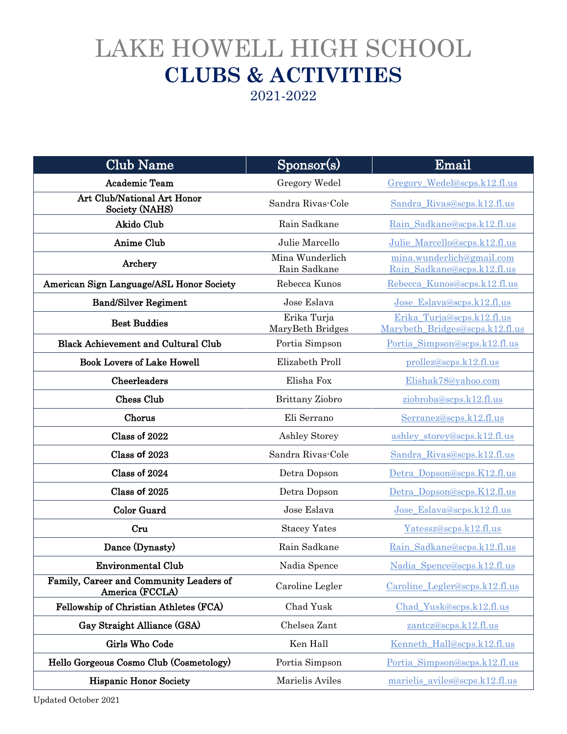## LAKE HOWELL HIGH SCHOOL **CLUBS & ACTIVITIES**

2021-2022

| <b>Club Name</b>                                           | Sponsor(s)                      | Email                                                         |
|------------------------------------------------------------|---------------------------------|---------------------------------------------------------------|
| <b>Academic Team</b>                                       | Gregory Wedel                   | Gregory Wedel@scps.k12.fl.us                                  |
| Art Club/National Art Honor<br>Society (NAHS)              | Sandra Rivas-Cole               | Sandra Rivas@scps.k12.fl.us                                   |
| Akido Club                                                 | Rain Sadkane                    | Rain_Sadkane@scps.k12.fl.us                                   |
| Anime Club                                                 | Julie Marcello                  | Julie Marcello@scps.k12.fl.us                                 |
| Archery                                                    | Mina Wunderlich<br>Rain Sadkane | mina.wunderlich@gmail.com<br>Rain Sadkane@scps.k12.fl.us      |
| American Sign Language/ASL Honor Society                   | Rebecca Kunos                   | Rebecca_Kunos@scps.k12.fl.us                                  |
| <b>Band/Silver Regiment</b>                                | Jose Eslava                     | Jose_Eslava@scps.k12.fl.us                                    |
| <b>Best Buddies</b>                                        | Erika Turja<br>MaryBeth Bridges | Erika Turja@scps.k12.fl.us<br>Marybeth Bridges@scps.k12.fl.us |
| <b>Black Achievement and Cultural Club</b>                 | Portia Simpson                  | Portia Simpson@scps.k12.fl.us                                 |
| <b>Book Lovers of Lake Howell</b>                          | Elizabeth Proll                 | prollez@scps.k12.fl.us                                        |
| Cheerleaders                                               | Elisha Fox                      | Elishak78@yahoo.com                                           |
| <b>Chess Club</b>                                          | Brittany Ziobro                 | ziobroba@scps.k12.fl.us                                       |
| Chorus                                                     | Eli Serrano                     | Serranez@scps.k12.fl.us                                       |
| Class of 2022                                              | Ashley Storey                   | ashley storey@scps.k12.fl.us                                  |
| Class of 2023                                              | Sandra Rivas-Cole               | Sandra Rivas@scps.k12.fl.us                                   |
| Class of 2024                                              | Detra Dopson                    | Detra Dopson@scps.K12.fl.us                                   |
| Class of 2025                                              | Detra Dopson                    | Detra Dopson@scps.K12.fl.us                                   |
| <b>Color Guard</b>                                         | Jose Eslava                     | Jose Eslava@scps.k12.fl.us                                    |
| Cru                                                        | <b>Stacey Yates</b>             | Yatessz@scps.k12.fl.us                                        |
| Dance (Dynasty)                                            | Rain Sadkane                    | Rain Sadkane@scps.k12.fl.us                                   |
| <b>Environmental Club</b>                                  | Nadia Spence                    | Nadia Spence@scps.k12.fl.us                                   |
| Family, Career and Community Leaders of<br>America (FCCLA) | Caroline Legler                 | Caroline Legler@scps.k12.fl.us                                |
| Fellowship of Christian Athletes (FCA)                     | Chad Yusk                       | Chad_Yusk@scps.k12.fl.us                                      |
| Gay Straight Alliance (GSA)                                | Chelsea Zant                    | zantcz@scps.k12.fl.us                                         |
| Girls Who Code                                             | Ken Hall                        | Kenneth Hall@scps.k12.fl.us                                   |
| Hello Gorgeous Cosmo Club (Cosmetology)                    | Portia Simpson                  | Portia Simpson@scps.k12.fl.us                                 |
| <b>Hispanic Honor Society</b>                              | Marielis Aviles                 | marielis aviles@scps.k12.fl.us                                |

Updated October 2021